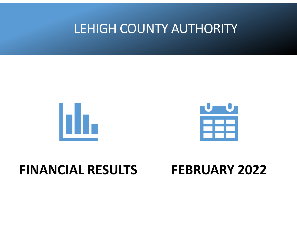# LEHIGH COUNTY AUTHORITY





## **FINANCIAL RESULTS**

# **FEBRUARY 2022**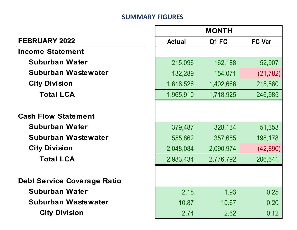#### **SUMMARY FIGURES**

|                                    | <b>MONTH</b>  |           |               |
|------------------------------------|---------------|-----------|---------------|
| <b>FEBRUARY 2022</b>               | <b>Actual</b> | Q1 FC     | <b>FC Var</b> |
| Income Statement                   |               |           |               |
| Suburban Water                     | 215,096       | 162,188   | 52,907        |
| Suburban Wastewater                | 132,289       | 154,071   | (21, 782)     |
| <b>City Division</b>               | 1,618,526     | 1,402,666 | 215,860       |
| <b>Total LCA</b>                   | 1,965,910     | 1,718,925 | 246,985       |
| <b>Cash Flow Statement</b>         |               |           |               |
| <b>Suburban Water</b>              | 379,487       | 328,134   | 51,353        |
| Suburban Wastewater                | 555,862       | 357,685   | 198,178       |
| <b>City Division</b>               | 2,048,084     | 2,090,974 | (42, 890)     |
| <b>Total LCA</b>                   | 2,983,434     | 2,776,792 | 206,641       |
| <b>Debt Service Coverage Ratio</b> |               |           |               |
| <b>Suburban Water</b>              | 2.18          | 1.93      | 0.25          |
| Suburban Wastewater                | 10.87         | 10.67     | 0.20          |
| <b>City Division</b>               | 2.74          | 2.62      | 0.12          |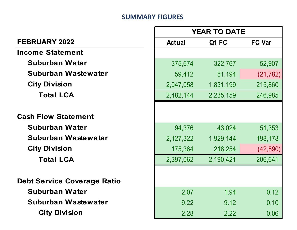#### **SUMMARY FIGURES**

Г

| <b>YEAR TO DATE</b>                |               |           |               |
|------------------------------------|---------------|-----------|---------------|
| <b>FEBRUARY 2022</b>               | <b>Actual</b> | Q1 FC     | <b>FC Var</b> |
| <b>Income Statement</b>            |               |           |               |
| Suburban Water                     | 375,674       | 322,767   | 52,907        |
| Suburban Wastewater                | 59,412        | 81,194    | (21, 782)     |
| <b>City Division</b>               | 2,047,058     | 1,831,199 | 215,860       |
| <b>Total LCA</b>                   | 2,482,144     | 2,235,159 | 246,985       |
| <b>Cash Flow Statement</b>         |               |           |               |
| <b>Suburban Water</b>              | 94,376        | 43,024    | 51,353        |
| Suburban Wastewater                | 2,127,322     | 1,929,144 | 198,178       |
| <b>City Division</b>               | 175,364       | 218,254   | (42,890)      |
| <b>Total LCA</b>                   | 2,397,062     | 2,190,421 | 206,641       |
| <b>Debt Service Coverage Ratio</b> |               |           |               |
| <b>Suburban Water</b>              | 2.07          | 1.94      | 0.12          |
| Suburban Wastewater                | 9.22          | 9.12      | 0.10          |
| <b>City Division</b>               | 2.28          | 2.22      | 0.06          |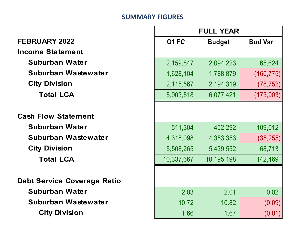#### **SUMMARY FIGURES**

г

|                                    | <b>FULL YEAR</b> |               |                |
|------------------------------------|------------------|---------------|----------------|
| <b>FEBRUARY 2022</b>               | Q1 FC            | <b>Budget</b> | <b>Bud Var</b> |
| <b>Income Statement</b>            |                  |               |                |
| Suburban Water                     | 2,159,847        | 2,094,223     | 65,624         |
| Suburban Wastewater                | 1,628,104        | 1,788,879     | (160, 775)     |
| <b>City Division</b>               | 2,115,567        | 2,194,319     | (78, 752)      |
| <b>Total LCA</b>                   | 5,903,518        | 6,077,421     | (173, 903)     |
|                                    |                  |               |                |
| <b>Cash Flow Statement</b>         |                  |               |                |
| <b>Suburban Water</b>              | 511,304          | 402,292       | 109,012        |
| Suburban Wastewater                | 4,318,098        | 4,353,353     | (35, 255)      |
| <b>City Division</b>               | 5,508,265        | 5,439,552     | 68,713         |
| <b>Total LCA</b>                   | 10,337,667       | 10,195,198    | 142,469        |
|                                    |                  |               |                |
| <b>Debt Service Coverage Ratio</b> |                  |               |                |
| <b>Suburban Water</b>              | 2.03             | 2.01          | 0.02           |
| Suburban Wastewater                | 10.72            | 10.82         | (0.09)         |
| <b>City Division</b>               | 1.66             | 1.67          | (0.01)         |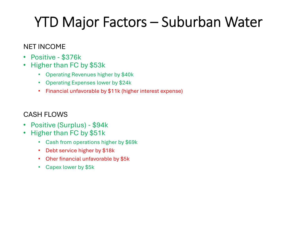# YTD Major Factors – Suburban Water

## NET INCOME

- $\bullet$ Positive - \$376k
- • Higher than FC by \$53k
	- Operating Revenues higher by \$40k
	- Operating Expenses lower by \$24k
	- Financial unfavorable by \$11k (higher interest expense)

### CASH FLOWS

- $\bullet$ Positive (Surplus) - \$94k
- • Higher than FC by \$51k
	- Cash from operations higher by \$69k
	- Debt service higher by \$18k
	- Oher financial unfavorable by \$5k
	- Capex lower by \$5k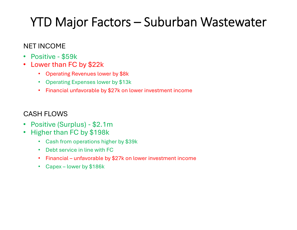# YTD Major Factors – Suburban Wastewater

## NET INCOME

- $\bullet$ Positive - \$59k
- Lower than FC by \$22k
	- Operating Revenues lower by \$8k
	- Operating Expenses lower by \$13k
	- Financial unfavorable by \$27k on lower investment income

## CASH FLOWS

- $\bullet$ Positive (Surplus) - \$2.1m
- $\bullet$  Higher than FC by \$198k
	- Cash from operations higher by \$39k
	- Debt service in line with FC
	- Financial unfavorable by \$27k on lower investment income
	- Capex lower by \$186k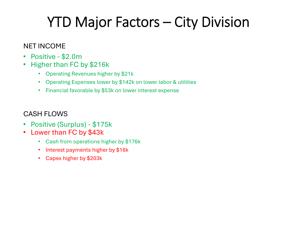# YTD Major Factors – City Division

## NET INCOME

- •Positive - \$2.0m
- • Higher than FC by \$216k
	- Operating Revenues higher by \$21k
	- Operating Expenses lower by \$142k on lower labor & utilities
	- Financial favorable by \$53k on lower interest expense

## CASH FLOWS

- $\bullet$ Positive (Surplus) - \$175k
- • Lower than FC by \$43k
	- Cash from operations higher by \$176k
	- Interest payments higher by \$16k
	- Capex higher by \$203k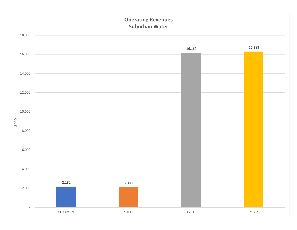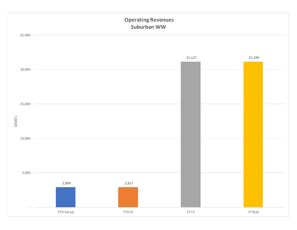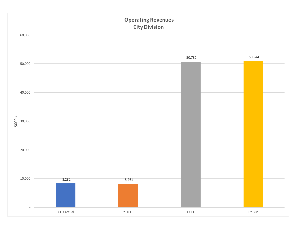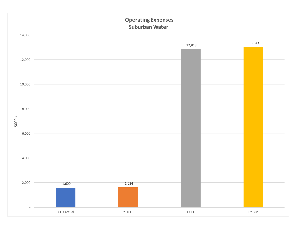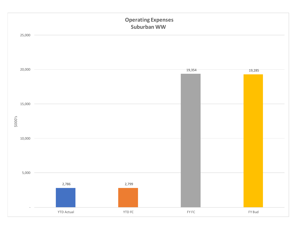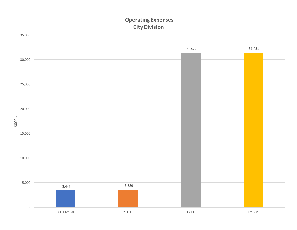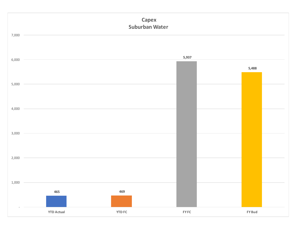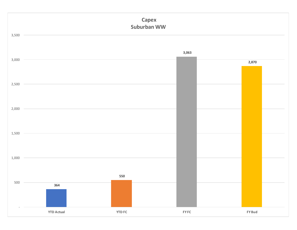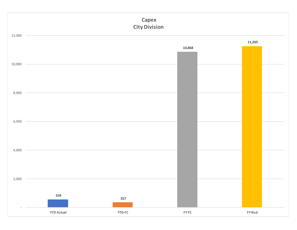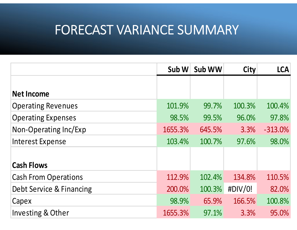## FORECAST VARIANCE SUMMARY

|                             | Sub W   | Sub WW | <b>City</b> | <b>LCA</b> |
|-----------------------------|---------|--------|-------------|------------|
|                             |         |        |             |            |
| <b>Net Income</b>           |         |        |             |            |
| <b>Operating Revenues</b>   | 101.9%  | 99.7%  | 100.3%      | 100.4%     |
| <b>Operating Expenses</b>   | 98.5%   | 99.5%  | 96.0%       | 97.8%      |
| Non-Operating Inc/Exp       | 1655.3% | 645.5% | 3.3%        | $-313.0%$  |
| <b>Interest Expense</b>     | 103.4%  | 100.7% | 97.6%       | 98.0%      |
| <b>Cash Flows</b>           |         |        |             |            |
| <b>Cash From Operations</b> | 112.9%  | 102.4% | 134.8%      | 110.5%     |
| Debt Service & Financing    | 200.0%  | 100.3% | #DIV/0!     | 82.0%      |
| Capex                       | 98.9%   | 65.9%  | 166.5%      | 100.8%     |
| Investing & Other           | 1655.3% | 97.1%  | 3.3%        | 95.0%      |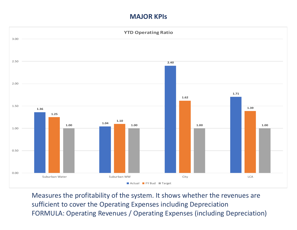#### **MAJOR KPIs**



Measures the profitability of the system. It shows whether the revenues are sufficient to cover the Operating Expenses including Depreciation FORMULA: Operating Revenues / Operating Expenses (including Depreciation)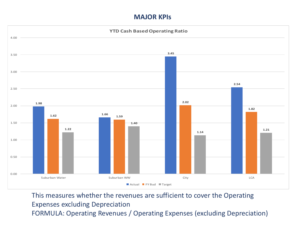#### **MAJOR KPIs**



This measures whether the revenues are sufficient to cover the Operating Expenses excluding Depreciation FORMULA: Operating Revenues / Operating Expenses (excluding Depreciation)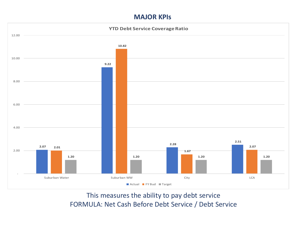#### **MAJOR KPIs**



This measures the ability to pay debt service FORMULA: Net Cash Before Debt Service / Debt Service